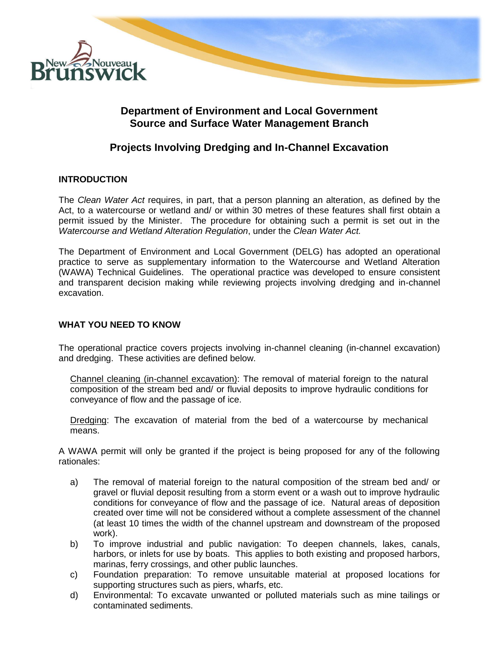

# **Department of Environment and Local Government Source and Surface Water Management Branch**

# **Projects Involving Dredging and In-Channel Excavation**

### **INTRODUCTION**

The *Clean Water Act* requires, in part, that a person planning an alteration, as defined by the Act, to a watercourse or wetland and/ or within 30 metres of these features shall first obtain a permit issued by the Minister. The procedure for obtaining such a permit is set out in the *Watercourse and Wetland Alteration Regulation*, under the *Clean Water Act.* 

The Department of Environment and Local Government (DELG) has adopted an operational practice to serve as supplementary information to the Watercourse and Wetland Alteration (WAWA) Technical Guidelines. The operational practice was developed to ensure consistent and transparent decision making while reviewing projects involving dredging and in-channel excavation.

## **WHAT YOU NEED TO KNOW**

The operational practice covers projects involving in-channel cleaning (in-channel excavation) and dredging. These activities are defined below.

Channel cleaning (in-channel excavation): The removal of material foreign to the natural composition of the stream bed and/ or fluvial deposits to improve hydraulic conditions for conveyance of flow and the passage of ice.

Dredging: The excavation of material from the bed of a watercourse by mechanical means.

A WAWA permit will only be granted if the project is being proposed for any of the following rationales:

- a) The removal of material foreign to the natural composition of the stream bed and/ or gravel or fluvial deposit resulting from a storm event or a wash out to improve hydraulic conditions for conveyance of flow and the passage of ice. Natural areas of deposition created over time will not be considered without a complete assessment of the channel (at least 10 times the width of the channel upstream and downstream of the proposed work).
- b) To improve industrial and public navigation: To deepen channels, lakes, canals, harbors, or inlets for use by boats. This applies to both existing and proposed harbors, marinas, ferry crossings, and other public launches.
- c) Foundation preparation: To remove unsuitable material at proposed locations for supporting structures such as piers, wharfs, etc.
- d) Environmental: To excavate unwanted or polluted materials such as mine tailings or contaminated sediments.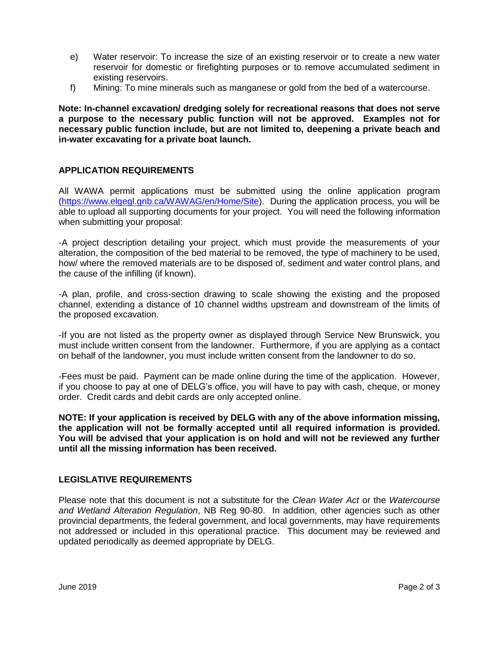- e) Water reservoir: To increase the size of an existing reservoir or to create a new water reservoir for domestic or firefighting purposes or to remove accumulated sediment in existing reservoirs.
- f) Mining: To mine minerals such as manganese or gold from the bed of a watercourse.

**Note: In-channel excavation/ dredging solely for recreational reasons that does not serve a purpose to the necessary public function will not be approved. Examples not for necessary public function include, but are not limited to, deepening a private beach and in-water excavating for a private boat launch.**

### **APPLICATION REQUIREMENTS**

All WAWA permit applications must be submitted using the online application program [\(https://www.elgegl.gnb.ca/WAWAG/en/Home/Site\)](https://www.elgegl.gnb.ca/WAWAG/en/Home/Site). During the application process, you will be able to upload all supporting documents for your project. You will need the following information when submitting your proposal:

-A project description detailing your project, which must provide the measurements of your alteration, the composition of the bed material to be removed, the type of machinery to be used, how/ where the removed materials are to be disposed of, sediment and water control plans, and the cause of the infilling (if known).

-A plan, profile, and cross-section drawing to scale showing the existing and the proposed channel, extending a distance of 10 channel widths upstream and downstream of the limits of the proposed excavation.

-If you are not listed as the property owner as displayed through Service New Brunswick, you must include written consent from the landowner. Furthermore, if you are applying as a contact on behalf of the landowner, you must include written consent from the landowner to do so.

-Fees must be paid. Payment can be made online during the time of the application. However, if you choose to pay at one of DELG's office, you will have to pay with cash, cheque, or money order. Credit cards and debit cards are only accepted online.

**NOTE: If your application is received by DELG with any of the above information missing, the application will not be formally accepted until all required information is provided. You will be advised that your application is on hold and will not be reviewed any further until all the missing information has been received.**

### **LEGISLATIVE REQUIREMENTS**

Please note that this document is not a substitute for the *Clean Water Act* or the *Watercourse and Wetland Alteration Regulation*, NB Reg 90-80. In addition, other agencies such as other provincial departments, the federal government, and local governments, may have requirements not addressed or included in this operational practice. This document may be reviewed and updated periodically as deemed appropriate by DELG.